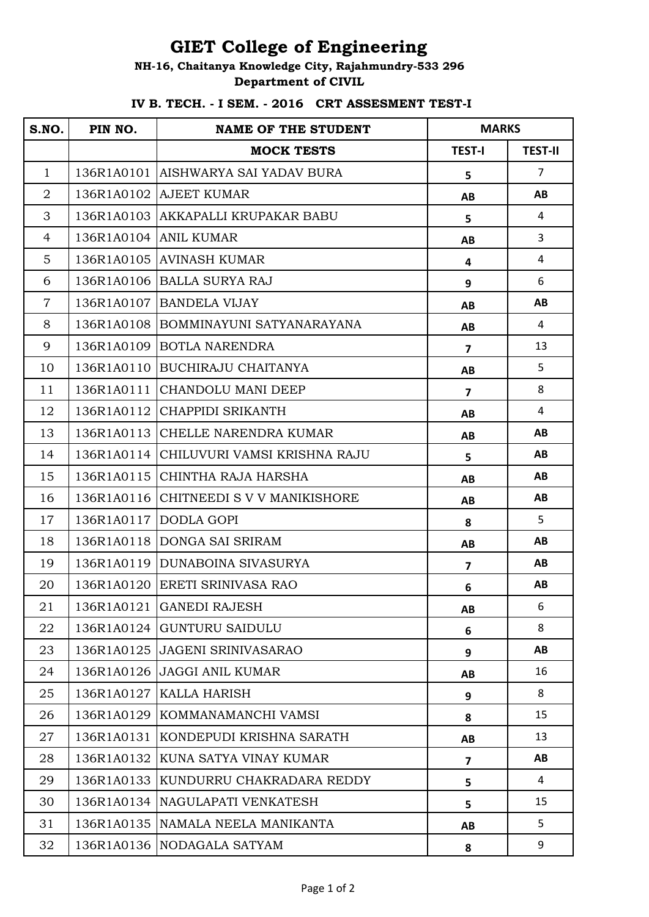## **GIET College of Engineering**

## **NH-16, Chaitanya Knowledge City, Rajahmundry-533 296 Department of CIVIL**

## **IV B. TECH. - I SEM. - 2016 CRT ASSESMENT TEST-I**

| S.NO.          | PIN NO.    | <b>NAME OF THE STUDENT</b>              | <b>MARKS</b>            |                |
|----------------|------------|-----------------------------------------|-------------------------|----------------|
|                |            | <b>MOCK TESTS</b>                       | <b>TEST-I</b>           | <b>TEST-II</b> |
| $\mathbf{1}$   |            | 136R1A0101 AISHWARYA SAI YADAV BURA     | 5                       | $\overline{7}$ |
| $\overline{2}$ |            | 136R1A0102 AJEET KUMAR                  | AB                      | AB             |
| 3              |            | 136R1A0103 AKKAPALLI KRUPAKAR BABU      | 5                       | 4              |
| 4              |            | 136R1A0104 ANIL KUMAR                   | AB                      | 3              |
| 5              |            | 136R1A0105 AVINASH KUMAR                | $\overline{\mathbf{4}}$ | $\overline{4}$ |
| 6              |            | 136R1A0106 BALLA SURYA RAJ              | 9                       | 6              |
| $\overline{7}$ |            | 136R1A0107 BANDELA VIJAY                | AB                      | AB             |
| 8              |            | 136R1A0108 BOMMINAYUNI SATYANARAYANA    | AB                      | 4              |
| 9              |            | 136R1A0109 BOTLA NARENDRA               | $\overline{\mathbf{z}}$ | 13             |
| 10             |            | 136R1A0110 BUCHIRAJU CHAITANYA          | AB                      | 5              |
| 11             | 136R1A0111 | CHANDOLU MANI DEEP                      | $\overline{\mathbf{z}}$ | 8              |
| 12             | 136R1A0112 | CHAPPIDI SRIKANTH                       | AB                      | $\overline{4}$ |
| 13             |            | 136R1A0113 CHELLE NARENDRA KUMAR        | AB                      | AB             |
| 14             |            | 136R1A0114 CHILUVURI VAMSI KRISHNA RAJU | 5                       | AB             |
| 15             | 136R1A0115 | CHINTHA RAJA HARSHA                     | AB                      | AB             |
| 16             |            | 136R1A0116 CHITNEEDI S V V MANIKISHORE  | AB                      | AB             |
| 17             |            | 136R1A0117 DODLA GOPI                   | 8                       | 5              |
| 18             |            | 136R1A0118 DONGA SAI SRIRAM             | AB                      | AB             |
| 19             |            | 136R1A0119 DUNABOINA SIVASURYA          | $\overline{\mathbf{z}}$ | AB             |
| 20             |            | 136R1A0120 ERETI SRINIVASA RAO          | 6                       | AB             |
| 21             |            | 136R1A0121 GANEDI RAJESH                | AB                      | 6              |
| 22             |            | 136R1A0124 GUNTURU SAIDULU              | 6                       | 8              |
| 23             |            | 136R1A0125 JAGENI SRINIVASARAO          | 9                       | AB             |
| 24             |            | 136R1A0126 JAGGI ANIL KUMAR             | AB                      | 16             |
| 25             |            | 136R1A0127 KALLA HARISH                 | 9                       | 8              |
| 26             |            | 136R1A0129 KOMMANAMANCHI VAMSI          | 8                       | 15             |
| 27             | 136R1A0131 | KONDEPUDI KRISHNA SARATH                | AB                      | 13             |
| 28             |            | 136R1A0132 KUNA SATYA VINAY KUMAR       | $\overline{\mathbf{z}}$ | AB             |
| 29             |            | 136R1A0133 KUNDURRU CHAKRADARA REDDY    | 5                       | 4              |
| 30             |            | 136R1A0134 NAGULAPATI VENKATESH         | 5                       | 15             |
| 31             |            | 136R1A0135 NAMALA NEELA MANIKANTA       | AB                      | 5              |
| 32             |            | 136R1A0136 NODAGALA SATYAM              | 8                       | 9              |